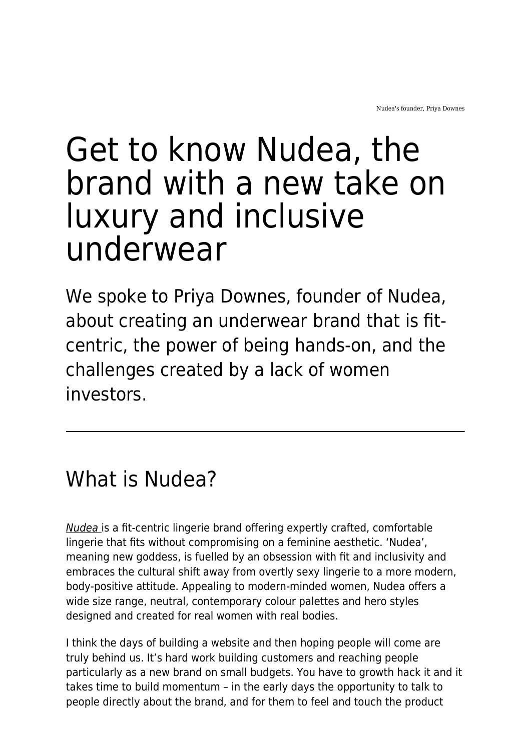# Get to know Nudea, the brand with a new take on luxury and inclusive underwear

We spoke to Priya Downes, founder of Nudea, about creating an underwear brand that is fitcentric, the power of being hands-on, and the challenges created by a lack of women investors.

## What is Nudea?

[Nudea](http://www.nudea.com/) is a fit-centric lingerie brand offering expertly crafted, comfortable lingerie that fits without compromising on a feminine aesthetic. 'Nudea', meaning new goddess, is fuelled by an obsession with fit and inclusivity and embraces the cultural shift away from overtly sexy lingerie to a more modern, body-positive attitude. Appealing to modern-minded women, Nudea offers a wide size range, neutral, contemporary colour palettes and hero styles designed and created for real women with real bodies.

I think the days of building a website and then hoping people will come are truly behind us. It's hard work building customers and reaching people particularly as a new brand on small budgets. You have to growth hack it and it takes time to build momentum – in the early days the opportunity to talk to people directly about the brand, and for them to feel and touch the product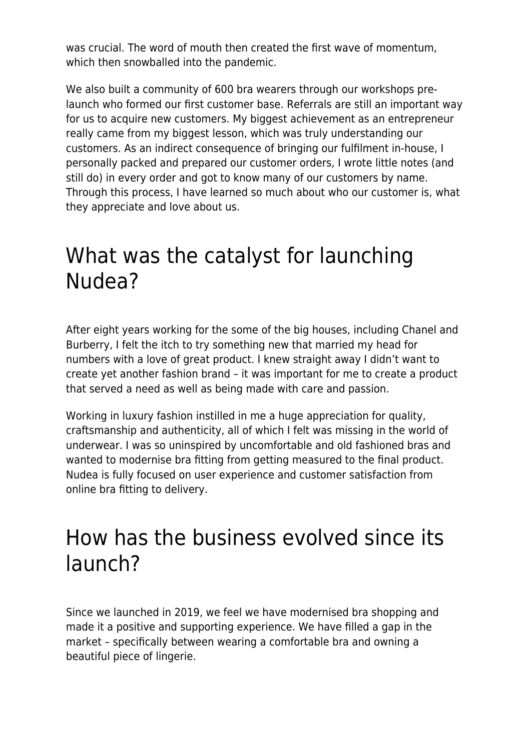was crucial. The word of mouth then created the first wave of momentum, which then snowballed into the pandemic.

We also built a community of 600 bra wearers through our workshops prelaunch who formed our first customer base. Referrals are still an important way for us to acquire new customers. My biggest achievement as an entrepreneur really came from my biggest lesson, which was truly understanding our customers. As an indirect consequence of bringing our fulfilment in-house, I personally packed and prepared our customer orders, I wrote little notes (and still do) in every order and got to know many of our customers by name. Through this process, I have learned so much about who our customer is, what they appreciate and love about us.

#### What was the catalyst for launching Nudea?

After eight years working for the some of the big houses, including Chanel and Burberry, I felt the itch to try something new that married my head for numbers with a love of great product. I knew straight away I didn't want to create yet another fashion brand – it was important for me to create a product that served a need as well as being made with care and passion.

Working in luxury fashion instilled in me a huge appreciation for quality, craftsmanship and authenticity, all of which I felt was missing in the world of underwear. I was so uninspired by uncomfortable and old fashioned bras and wanted to modernise bra fitting from getting measured to the final product. Nudea is fully focused on user experience and customer satisfaction from online bra fitting to delivery.

#### How has the business evolved since its launch?

Since we launched in 2019, we feel we have modernised bra shopping and made it a positive and supporting experience. We have filled a gap in the market – specifically between wearing a comfortable bra and owning a beautiful piece of lingerie.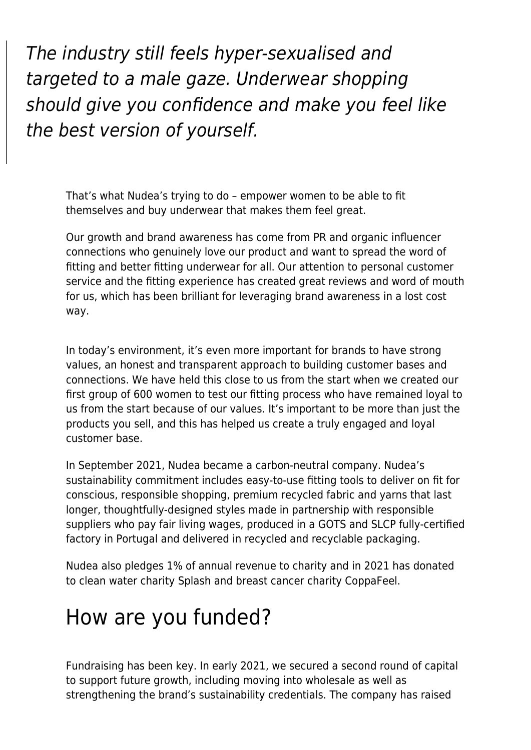The industry still feels hyper-sexualised and targeted to a male gaze. Underwear shopping should give you confidence and make you feel like the best version of yourself.

That's what Nudea's trying to do – empower women to be able to fit themselves and buy underwear that makes them feel great.

Our growth and brand awareness has come from PR and organic influencer connections who genuinely love our product and want to spread the word of fitting and better fitting underwear for all. Our attention to personal customer service and the fitting experience has created great reviews and word of mouth for us, which has been brilliant for leveraging brand awareness in a lost cost way.

In today's environment, it's even more important for brands to have strong values, an honest and transparent approach to building customer bases and connections. We have held this close to us from the start when we created our first group of 600 women to test our fitting process who have remained loyal to us from the start because of our values. It's important to be more than just the products you sell, and this has helped us create a truly engaged and loyal customer base.

In September 2021, Nudea became a carbon-neutral company. Nudea's sustainability commitment includes easy-to-use fitting tools to deliver on fit for conscious, responsible shopping, premium recycled fabric and yarns that last longer, thoughtfully-designed styles made in partnership with responsible suppliers who pay fair living wages, produced in a GOTS and SLCP fully-certified factory in Portugal and delivered in recycled and recyclable packaging.

Nudea also pledges 1% of annual revenue to charity and in 2021 has donated to clean water charity Splash and breast cancer charity CoppaFeel.

## How are you funded?

Fundraising has been key. In early 2021, we secured a second round of capital to support future growth, including moving into wholesale as well as strengthening the brand's sustainability credentials. The company has raised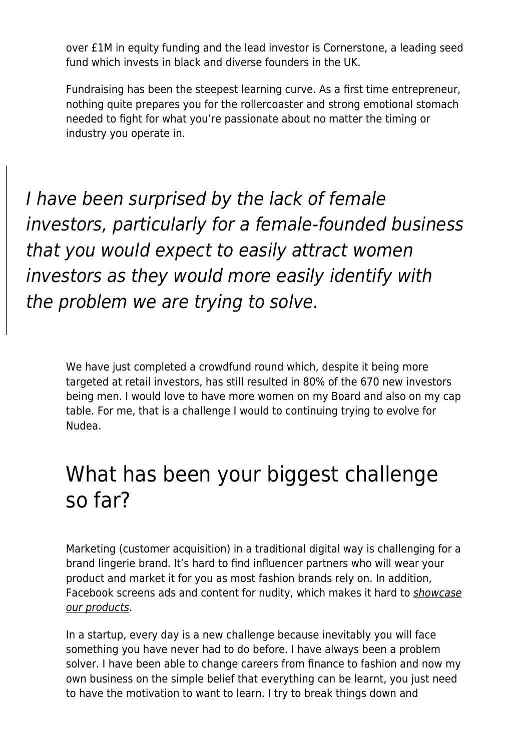over £1M in equity funding and the lead investor is Cornerstone, a leading seed fund which invests in black and diverse founders in the UK.

Fundraising has been the steepest learning curve. As a first time entrepreneur, nothing quite prepares you for the rollercoaster and strong emotional stomach needed to fight for what you're passionate about no matter the timing or industry you operate in.

I have been surprised by the lack of female investors, particularly for a female-founded business that you would expect to easily attract women investors as they would more easily identify with the problem we are trying to solve.

We have just completed a crowdfund round which, despite it being more targeted at retail investors, has still resulted in 80% of the 670 new investors being men. I would love to have more women on my Board and also on my cap table. For me, that is a challenge I would to continuing trying to evolve for Nudea.

## What has been your biggest challenge so far?

Marketing (customer acquisition) in a traditional digital way is challenging for a brand lingerie brand. It's hard to find influencer partners who will wear your product and market it for you as most fashion brands rely on. In addition, Facebook screens ads and content for nudity, which makes it hard to [showcase](https://www.maddyness.com/uk/2021/12/06/for-these-sextech-founders-growing-a-business-means-pushing-past-stigma/) [our products](https://www.maddyness.com/uk/2021/12/06/for-these-sextech-founders-growing-a-business-means-pushing-past-stigma/).

In a startup, every day is a new challenge because inevitably you will face something you have never had to do before. I have always been a problem solver. I have been able to change careers from finance to fashion and now my own business on the simple belief that everything can be learnt, you just need to have the motivation to want to learn. I try to break things down and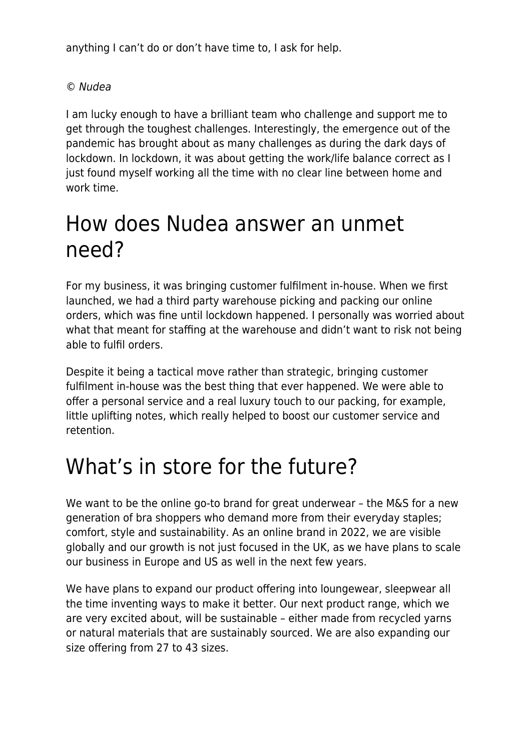anything I can't do or don't have time to, I ask for help.

#### © Nudea

I am lucky enough to have a brilliant team who challenge and support me to get through the toughest challenges. Interestingly, the emergence out of the pandemic has brought about as many challenges as during the dark days of lockdown. In lockdown, it was about getting the work/life balance correct as I just found myself working all the time with no clear line between home and work time.

#### How does Nudea answer an unmet need?

For my business, it was bringing customer fulfilment in-house. When we first launched, we had a third party warehouse picking and packing our online orders, which was fine until lockdown happened. I personally was worried about what that meant for staffing at the warehouse and didn't want to risk not being able to fulfil orders.

Despite it being a tactical move rather than strategic, bringing customer fulfilment in-house was the best thing that ever happened. We were able to offer a personal service and a real luxury touch to our packing, for example, little uplifting notes, which really helped to boost our customer service and retention.

# What's in store for the future?

We want to be the online go-to brand for great underwear - the M&S for a new generation of bra shoppers who demand more from their everyday staples; comfort, style and sustainability. As an online brand in 2022, we are visible globally and our growth is not just focused in the UK, as we have plans to scale our business in Europe and US as well in the next few years.

We have plans to expand our product offering into loungewear, sleepwear all the time inventing ways to make it better. Our next product range, which we are very excited about, will be sustainable – either made from recycled yarns or natural materials that are sustainably sourced. We are also expanding our size offering from 27 to 43 sizes.